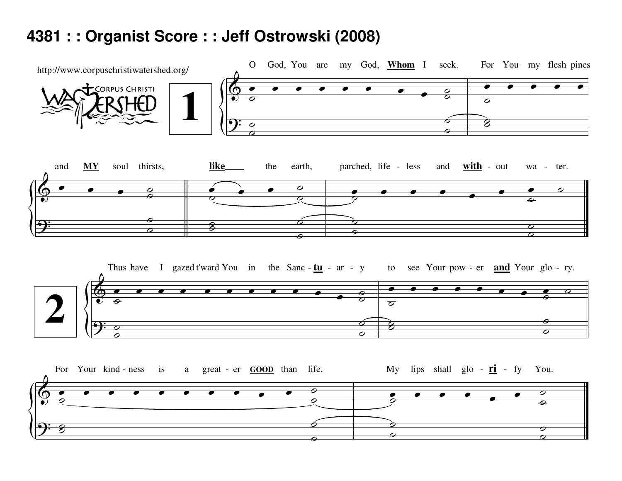## 4381 : : Organist Score : : Jeff Ostrowski (2008)